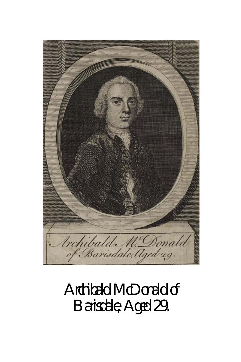

# Archibald McDonald of Barisdale, Aged 29.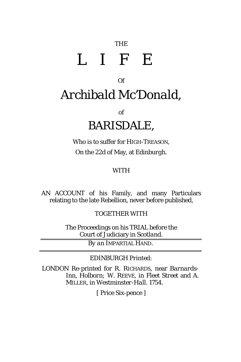## THE LIFE

### Of *Archibald Mc'Donald,*

of

#### *BARISDALE,*

Who is to suffer for HIGH-TREASON, On the 22d of May, at *Edinburgh.*

#### WITH

AN ACCOUNT of his Family, and many Particulars relating to the late Rebellion, never before published,

TOGETHER WITH

The Proceedings on his TRIAL before the Court of Judiciary in *Scotland.*

*By an* IMPARTIAL HAND.

*EDINBURGH Printed:*

*LONDON* Re-printed for R. RICHARDS, near *Barnards-Inn, Holborn;* W. REEVE, in *Fleet Street* and A. MILLER, in *Westminster-Hall.* 1754.

[ Price Six-pence ]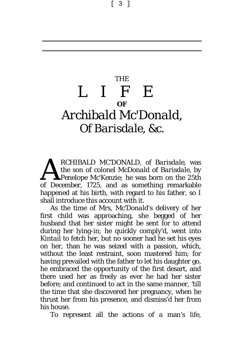[ 3 ]

### THE LIFE **OF** *Archibald Mc'Donald,* Of *Barisdale*, &c.

*RCHIBALD MC'DONALD*, of *Barisdale,* was the son of colonel *McDonald* of *Barisdale,* by *Penelope Mc'Kenzie;* he was born on the 25th *RCHIBALD MC'DONALD*, of *Barisdale*, was the son of colonel *McDonald* of *Barisdale*, by *Penelope Mc'Kenzie*; he was born on the 25th of December, 1725, and as something remarkable happened at his birth, with regard to his father, so I shall introduce this account with it.

As the time of Mrs, *Mc'Donald's* delivery of her first child was approaching, she begged of her husband that her sister might be sent for to attend during her lying-in; he quickly comply'd, went into *Kintail* to fetch her, but no sooner had he set his eyes on her, than he was seized with a passion, which, without the least restraint, soon mastered him; for having prevailed with the father to let his daughter go, he embraced the opportunity of the first desart, and there used her as freely as ever he had her sister before; and continued to act in the same manner, 'till the time that she discovered her pregnancy, when he thrust her from his presence, and dismiss'd her from his house.

To represent all the actions of a man's life,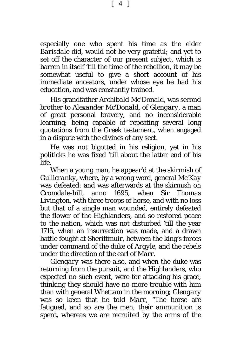especially one who spent his time as the elder *Barisdale* did, would not be very grateful; and yet to set off the character of our present subject, which is barren in itself 'till the time of the rebellion, it may be somewhat useful to give a short account of his immediate ancestors, under whose eye he had his education, and was constantly trained.

His grandfather *Archibald Mc'Donald,* was second brother to *Alexander Mc'Donald,* of *Glengary*, a man of great personal bravery, and no inconsiderable learning; being capable of repeating several long quotations from the *Greek* testament, when engaged in a dispute with the divines of any sect.

He was not bigotted in his religion, yet in his politicks he was fixed 'till about the latter end of his life.

When a young man, he appear'd at the skirmish of *Gullicranky,* where, by a wrong word, general *Mc'Kay* was defeated: and was afterwards at the skirmish on *Cromdale*-hill, anno 1695, when Sir *Thomas Livington,* with three troops of horse, and with no loss but that of a single man wounded, entirely defeated the flower of the Highlanders, and so restored peace to the nation, which was not disturbed 'till the year 1715, when an insurrection was made, and a drawn battle fought at *Sheriffmuir,* between the king's forces under command of the duke of *Argyle,* and the rebels under the direction of the earl of *Marr.*

*Glengary* was there also, and when the duke was returning from the pursuit, and the Highlanders, who expected no such event, were for attacking his grace, thinking they should have no more trouble with him than with general *Whettam* in the morning; *Glengary*  was so keen that he told *Marr*, "The horse are fatigued, and so are the men, their ammunition is spent, whereas we are recruited by the arms of the

[ 4 ]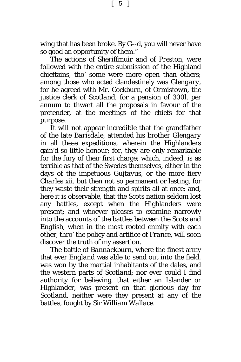wing that has been broke. By G--d, you will never have so good an opportunity of them."

The actions of *Sheriffmuir* and of *Preston,* were followed with the entire submission of the Highland chieftains, tho' some were more open than others; among those who acted clandestinely was *Glengary,* for he agreed with Mr. *Cockburn*, of *Ormistown*, the justice clerk of *Scotland*, for a pension of 300*l*. per annum to thwart all the proposals in favour of the pretender, at the meetings of the chiefs for that purpose.

It will not appear incredible that the grandfather of the late *Barisdale*, attended his brother *Glengary* in all these expeditions, wherein the Highlanders gain'd so little honour; for, they are only remarkable for the fury of their first charge; which, indeed, is as terrible as that of the *Swedes* themselves, either in the days of the impetuous *Gujtavus, o*r the more fiery *Charles* xii. but then not so permanent or lasting, for they waste their strength and spirits all at once; and, here it is observable, that the *Scots* nation seldom lost any battles, except when the Highlanders were present; and whoever pleases to examine narrowly into the accounts of the battles between the *Scots* and *English,* when in the most rooted enmity with each other, thro' the policy and artifice of *France*, will soon discover the truth of my assertion.

The battle of *Bannackburn*, where the finest army that ever *England* was able to send out into the field, was won by the martial inhabitants of the dales, and the western parts of *Scotland*; nor ever could I find authority for believing, that either an Islander or Highlander, was present on that glorious day for *Scotland,* neither were they present at any of the battles, fought by Sir *William Wallace*.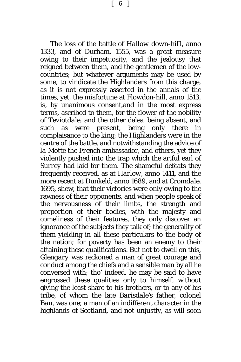$\begin{bmatrix} 6 \end{bmatrix}$ 

The loss of the battle of *Hallow down-hiII,* anno 1333, and of Durham, 1555, was a great measure owing to their impetuosity, and the jealousy that reigned between them, and the gentlemen of the lowcountries; but whatever arguments may be used by some, to vindicate the Highlanders from this charge, as it is not expressly asserted in the annals of the times, yet, the misfortune at *Flowdon-hill,* anno 1513, is, by unanimous consent,and in the most express terms, ascribed to them, for the flower of the nobility of *Teviotdale,* and the other dales, being absent, and such as were present, being only there in complaisance to the king; the Highlanders were in the centre of the battle, and notwithstanding the advice of *la Motte* the *French* ambassador, and others, yet they violently pushed into the trap which the artful earl of *Surrey* had laid for them. The shameful defeats they frequently received, as at *Harlow*, anno 1411, and the more recent at *Dunkeld,* anno 1689, and at *Cromdale*, 1695, shew, that their victories were only owing to the rawness of their opponents, and when people speak of the nervousness of their limbs, the strength and proportion of their bodies, with the majesty and comeliness of their features, they only discover an ignorance of the subjects they talk of; the generality of them yielding in all these particulars to the body of the nation; for poverty has been an enemy to their attaining these qualifications. But not to dwell on this, *Glengary* was reckoned a man of great courage and conduct among the chiefs and a sensible man by all he conversed with; tho' indeed, he may be said to have engrossed these qualities only to himself, without giving the least share to his brothers, or to any of his tribe, of whom the late *Barisdale's* father, colonel *Ban,* was one; a man of an indifferent character in the highlands of *Scotland*, and not unjustly, as will soon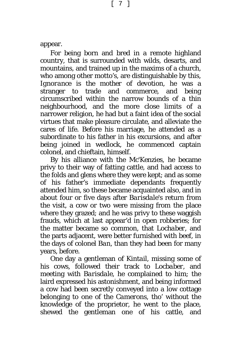appear.

For being born and bred in a remote highland country, that is surrounded with wilds, desarts, and mountains, and trained up in the maxims of a church, who among other motto's, are distinguishable by this, *Ignorance is the mother of devotion*, he was a stranger to trade and commerce, and being circumscribed within the narrow bounds of a thin neighbourhood, and the more close limits of a narrower religion, he had but a faint idea of the social virtues that make pleasure circulate, and alleviate the cares of life. Before his marriage, he attended as a subordinate to his father in his excursions, and after being joined in wedlock, he commenced captain colonel, and chieftain, himself.

By his alliance with the *Mc'Kenzies*, he became privy to their way of fatting cattle, and had access to the folds and glens where they were kept; and as some of his father's immediate dependants frequently attended him, so these became acquainted also, and in about four or five days after *Barisdale's* return from the visit, a cow or two were missing from the place where they grazed; and he was privy to these waggish frauds, which at last appear'd in open robberies; for the matter became so common, that *Lochaber,* and the parts adjacent, were better furnished with beef, in the days of colonel *Ban,* than they had been for many years, before.

One day a gentleman of *Kintail,* missing some of his cows, followed their track to *Locbaber*, and meeting with *Barisdale,* he complained to him; the laird expressed his astonishment, and being informed a cow had been secretly conveyed into a low cottage belonging to one of the *Camerons,* tho' without the knowledge of the proprietor, he went to the place, shewed the gentleman one of his cattle, and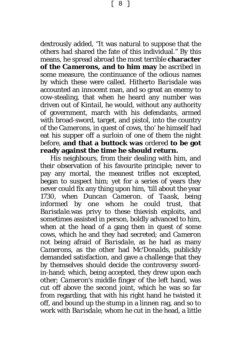dextrously added, "It was natural to suppose that the others had shared the fate of this individual." By this means, he spread abroad the most terrible **character of the** *Camerons***, and to him may** be ascribed in some measure, the continuance of the odious names by which these were called. Hitherto *Barisdale* was accounted an innocent man, and so great an enemy to cow-stealing, that when he heard any number was driven out of *Kintail,* he would, without any authority of government, march with his defendants, armed with broad-sword, target, and pistol, into the country of the *Camerons,* in quest of cows, tho' he himself had eat his supper off a surloin of one of them the night before, **and that a buttock was** ordered **to be got ready against the time he should return.**

His neighbours, from their dealing with him, and their observation of his favourite principle; never to pay any mortal, the meanest trifles not excepted, began to suspect him; yet for a series of years they never could fix any thing upon him, 'till about the year 1730, when *Duncan Cameron*. of *Taask,* being informed by one whom he could trust, that *Barisdale.*was privy to these thievish exploits, and sometimes assisted in person, boldly advanced to him, when at the head of a gang then in quest of some cows, which he and they had secreted; and *Cameron* not being afraid of *Barisdale*, as he had as many *Camerons*, as the other had *Mc'Donalds,* publickly demanded satisfaction, and gave a challenge that they by themselves should decide the controversy swordin-hand; which, being accepted, they drew upon each other; *Cameron'*s middle finger of the left hand, was cut off above the second joint, which he was so far from regarding, that with his right hand he twisted it off, and bound up the stump in a linnen rag, and so to work with *Barisdale*, whom he cut in the head, a little

[ 8 ]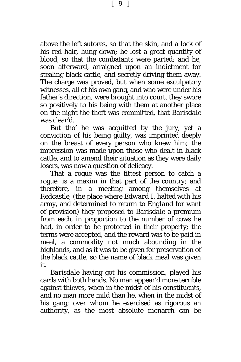above the left sutores, so that the skin, and a lock of his red hair, hung down; he lost a great quantity of blood, so that the combatants were parted; and he, soon afterward, arraigned upon an indictment for stealing black cattle, and secretly driving them away. The charge was proved, but when some exculpatory witnesses, all of his own gang, and who were under his father's direction, were brought into court, they swore so positively to his being with them at another place on the night the theft was committed, that *Barisdale* was clear'd.

But tho' he was acquitted by the jury, yet a conviction of his being guilty, was imprinted deeply on the breast of every person who knew him; the impression was made upon those who dealt in black cattle, and to amend their situation as they were daily losers, was now a question of delicacy.

That a rogue was the fittest person to catch a rogue, is a maxim in that part of the country; and therefore, in a meeting among themselves at *Redcastle,* (the place where *Edward* I. halted with his army, and determined to return to *England* for want of provision) they proposed to *Barisdale* a premium from each, in proportion to the number of cows he had, in order to be protected in their property; the terms were accepted, and the reward was to be paid in meal, a commodity not much abounding in the highlands, and as it was to be given for preservation of the black cattle, so the name of black meal was given it.

*Barisdale* having got his commission, played his cards with both hands. No man appear'd more terrible against thieves, when in the midst of his constituents, and no man more mild than he, when in the midst of his gang; over whom he exercised as rigorous an authority, as the most absolute monarch can be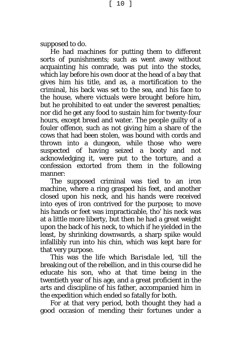supposed to do.

He had machines for putting them to different sorts of punishments; such as went away without acquainting his comrade, was put into the stocks, which lay before his own door at the head of a bay that gives him his title, and as, a mortification to the criminal, his back was set to the sea, and his face to the house, where victuals were brought before him, but he prohibited to eat under the severest penalties; nor did he get any food to sustain him for twenty-four hours, except bread and water. The people guilty of a fouler offence, such as not giving him a share of the cows that had been stolen, was bound with cords and thrown into a dungeon, while those who were suspected of having seized a booty and not acknowledging it, were put to the torture, and a confession extorted from them in the following manner:

The supposed criminal was tied to an iron machine, where a ring grasped his feet, and another closed upon his neck, and his hands were received into eyes of iron contrived for the purpose; to move his hands or feet was impracticable, tho' his neck was at a little more liberty, but then he had a great weight upon the back of his neck, to which if he yielded in the least, by shrinking downwards, a sharp spike would infallibly run into his chin, which was kept bare for that very purpose.

This was the life which *Barisdale* led, 'till the breaking out of the rebellion, and in this course did he educate his son, who at that time being in the twentieth year of his age, and a great proficient in the arts and discipline of his father, accompanied him in the expedition which ended so fatally for both.

For at that very period, both thought they had a good occasion of mending their fortunes under a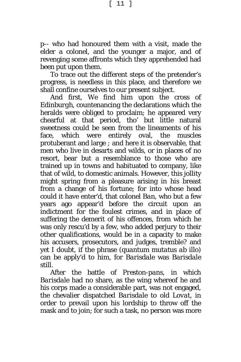[ 11 ]

p-- who had honoured them with a visit, made the elder a colonel, and the younger a major, and of revenging some affronts which they apprehended had been put upon them.

To trace out the different steps of the pretender's progress, is needless in this place, and therefore we shall confine ourselves to our present subject.

And first, We find him upon the cross of *Edinburgh,* countenancing the declarations which the heralds were obliged to proclaim; he appeared very chearful at that period, tho' but little natural sweetness could be seen from the lineaments of his face, which were entirely oval, the muscles protuberant and large *;* and here it is observable, that men who live in desarts and wilds, or in places of no resort, bear but a resemblance to those who are trained up in towns and habituated to company, like that of wild, to domestic animals. However, this jollity might spring from a pleasure arising in his breast from a change of his fortune; for into whose head could it have enter'd, that colonel *Ban*, who but a few years ago appear'd before the circuit upon an indictment for the foulest crimes, and in place of suffering the demerit of his offences, from which he was only rescu'd by a few, who added perjury to their other qualifications, would be in a capacity to make his accusers, prosecutors, and judges, tremble? and yet I doubt, if the phrase *(quantum mutatus ab illo)* can be apply'd to him, for *Barisdale* was *Barisdale* still*.*

After the battle of *Preston-pans*, in which *Barisdale* had no share, as the wing whereof he and his corps made a considerable part, was not engaged, the chevalier dispatched *Barisdale* to old *Lovat,* in order to prevail upon his lordship to throw off the mask and to join; for such a task, no person was more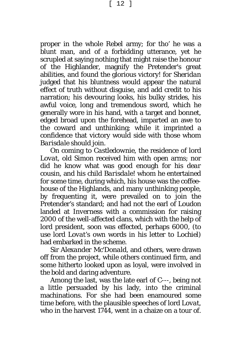[ 12 ]

proper in the whole Rebel army; for tho' he was a blunt man, and of a forbidding utterance, yet he scrupled at saying nothing that might raise the honour of the Highlander, magnify the Pretender's great abilities, and found the glorious victory! for *Sheridan*  judged that his bluntness would appear the natural effect of truth without disguise, and add credit to his narration; his devouring looks, his bulky strides, his awful voice, long and tremendous sword, which he generally wore in his hand, with a target and bonnet, edged broad upon the forehead, imparted an awe to the coward and unthinking; while it imprinted a confidence that victory would side with those whom *Barisdale* should join.

On coming to *Castledownie*, the residence of lord *Lovat,* old *Simon* received him with open arms; nor did he know what was good enough for his *dear cousin*, and his *child Barisdale!* whom he entertained for some time, during which, his house was the coffeehouse of the Highlands, and many unthinking people, by frequenting it, were prevailed on to join the Pretender's standard; and had not the earl of *Loudon* landed at *Inverness* with a commission for raising 2000 of the well-affected clans, which with the help of lord president, soon was effected, perhaps 6000, (to use lord *Lovat*'s own words in his letter to *Lochiel)* had embarked in the scheme.

Sir *Alexander Mc'Donald,* and others, were drawn off from the project, while others continued firm, and some hitherto looked upon as loyal, were involved in the bold and daring adventure.

Among the last, was the late earl of *C---,* being not a little persuaded by his lady, into the criminal machinations. For she had been enamoured some time before, with the plausible speeches of lord *Lovat,* who in the harvest 1744, went in a chaize on a tour of.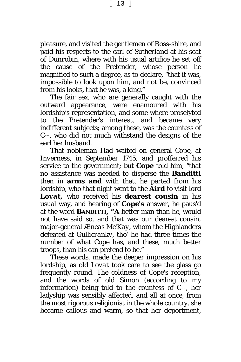pleasure, and visited the gentlemen *of Ross-shire*, and paid his respects to the earl of *Sutherland* at his seat of *Dunrobin*, where with his usual artifice he set off the cause of the Pretender, whose person he magnified to such a degree, as to declare, "that it was, impossible to look upon him, and not be, convinced from his looks, that he was, a king."

The fair sex, who are generally caught with the outward appearance, were enamoured with his lordship's representation, and some where proselyted to the Pretender's interest, and became very indifferent subjects; among these, was the countess of *C*--, who did not much withstand the designs of the earl her husband.

That nobleman Had waited on general *Cope,* at *Inverness,* in September 1745, and profferred his service to the government; but *Cope* told him, "that no assistance was needed to disperse the *Banditti* then in **arms and** with that, he parted from his lordship, who that night went to the *Aird* to visit lord *Lovat,* who received his *dearest cousin* in his usual way, and hearing of *Cope's* answer, he paus'd at the word **BANDITTI, "A** better man than he, would not have said so, and that was our dearest cousin, major-general *Æneas Mc'Kay,* whom the Highlanders defeated at *Gullicranky,* tho' he had three times the number of what *Cope* has, and *these,* much better troops, than *his* can pretend to be."

These words, made the deeper impression on his lordship, as old *Lovat* took care to see the glass go frequently round. The coldness of *Cope*'s reception, and the words of old *Simon* (according to my information) being told to the countess of C--, her ladyship was sensibly affected, and all at once, from the most rigorous religionist in the whole country, she became callous and warm, so that her deportment,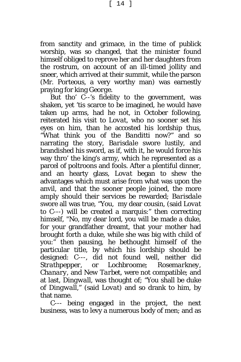[ 14 ]

from sanctity and grimace, in the time of publick worship, was so changed, that the minister found himself obliged to reprove her and her daughters from the rostrum, on account of an ill-timed jollity and sneer, which arrived at their summit, while the parson (Mr. *Porteous*, a very worthy man) was earnestly praying for king *George.*

But tho' *C*--'s fidelity to the government, was shaken, yet 'tis scarce to be imagined, he would have taken up arms, had he not, in October following, reiterated his visit to *Lovat*, who no sooner set his eyes on him, than he accosted his lordship thus, "What think you of the *Banditti* now?" and so narrating the story, *Barisdale* swore lustily, and brandished his sword, as if, with it, he would force his way thro' the king's army, which he represented as a parcel of poltroons and fools. After a plentiful dinner, and an hearty glass, *Lovat* began to shew the advantages which must arise from what was upon the anvil, and that the sooner people joined, the more amply should their services be rewarded; *Barisdale* swore all was true, "You, my dear cousin, (said *Lovat* to *C*---*)* will be created a marquis:" then correcting himself, "No, my dear lord, you will be made a duke, for your grandfather dreamt, that your mother had brought forth a duke, while she was big with child of you:" then pausing, he bethought himself of the particular title, by which his lordship should be designed: *C*---, did not found well, neither did *Strathpepper*, or *Lochbroome; Rosemarkney, Chanary*, and *New Tarbet,* were not compatible; and at last, *Dingwall,* was thought of; *"*You shall be duke of *Dingwall,*" (said *Lovat)* and so drank to him, by that name.

*C---* being engaged in the project, the next business, was to levy a numerous body of men; and as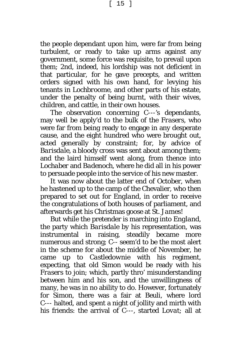[ 15 ]

the people dependant upon him, were far from being turbulent, or ready to take up arms against any government, some force was requisite, to prevail upon them; 2nd, indeed, his lordship was not deficient in that particular, for he gave precepts, and written orders signed with his own hand, for levying his tenants in *Lochbroome,* and other parts of his estate, under the penalty of being burnt, with their wives, children, and cattle, in their own houses.

The observation concerning *C---'s* dependants, may well be apply'd to the bulk of the *Frasers,* who were far from being ready to engage in any desperate cause, and the eight hundred who were brought out, acted generally by constraint; for, by advice of *Barisdale*, a bloody cross was sent about among them; and the laird himself went along, from thence into *Lochaber* and *Badenoch,* where he did all in his power to persuade people into the service of his new master.

It was now about the latter end of October, when he hastened up to the camp of the Chevalier, who then prepared to set out for *England,* in order to receive the congratulations of both houses of parliament, and afterwards get his Christmas goose at St. *James*!

But while the pretender is marching into *England,* the party which *Barisdale* by his representation, was instrumental in raising, steadily became more numerous and strong; *C--* seem'd to be the most alert in the scheme for about the middle of November, he came up to *Castledownie* with his regiment, expecting, that old *Simon* would be ready with his *Frasers* to join; which, partly thro' misunderstanding between him and his son, and the unwillingness of many, he was in no ability to do. However, fortunately for *Simon,* there was a fair at *Beuli,* where lord *C---* halted, and spent a night of jollity and mirth with his friends: the arrival of *C---,* started *Lovat;* all at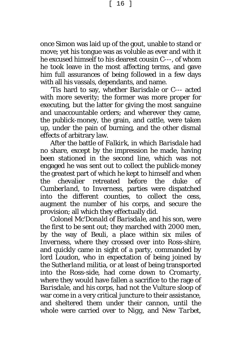[ 16 ]

once *Simon* was laid up of the gout, unable to stand or move; yet his tongue was as voluble as ever and with it he excused himself to his dearest cousin *C---*, of whom he took leave in the most affecting terms, and gave him full assurances of being followed in a few days with all *his* vassals, dependants, and name.

'Tis hard to say, whether *Barisdale* or C--- acted with more severity; the former was more proper for executing, but the latter for giving the most sanguine and unaccountable orders; and wherever they came, the publick-money, the grain, and cattle, were taken up, under the pain of burning, and the other dismal effects of arbitrary law.

After the battle of *Falkirk*, in which *Barisdale* had no share, except by the impression he made, having been stationed in the second line, which was not engaged he was sent out to collect the publick-money the greatest part of which he kept to himself and when the chevalier retreated before the duke of *Cumberland,* to *Inverness*, parties were dispatched into the different counties, to collect the cess, augment the number of his corps, and secure the provision; all which they effectually did.

Colonel *Mc'Donald* of *Barisdale,* and his son, were the first to be sent out; they marched with 2000 men, by the way of *Beuli,* a place within six miles of *Inverness,* where they crossed over into *Ross-shire*, and quickly came in sight of a party, commanded by lord *Loudon,* who in expectation of being joined by the *Sutherland* militia, or at least of being transported into the *Ross-side,* had come down to *Cromarty*, where they would have fallen a sacrifice to the rage of *Barisdale*, and his corps, had not the *Vulture* sloop of war come in a very critical juncture to their assistance, and sheltered them under their cannon, until the whole were carried over to *Nigg,* and *New Tarbet*,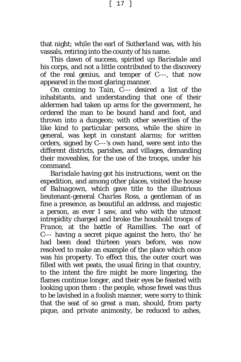[ 17 ]

that night; while the earl of *Sutherland* was, with his vassals, retiring into the county of his name.

This dawn of success, spirited up *Barisdale* and his corps, and not a little contributed to the discovery of the real genius, and temper of *C---,* that now appeared in the most glaring manner.

On coming to *Tain*, *C*--- desired a list of the inhabitants, and understanding that one of their aldermen had taken up arms for the government, he ordered the man to be bound hand and foot, and thrown into a dungeon; with other severities of the like kind to particular persons, while the shire in general, was kept in constant alarms; for written orders, signed by *C*---*'s* own hand, were sent into the different districts, parishes, and villages, demanding their moveables, for the use of the troops, under his command.

*Barisdale* having got his instructions, went on the expedition, and among other places, visited the house of *Balnagown,* which gave title to the illustrious lieutenant-general *Charles Ross,* a gentleman of as fine a presence, as beautiful an address, and majestic a person, as ever I saw, and who with the utmost intrepidity charged and broke the houshold troops of *France*, at the battle of *Ramillies.* The earl of *C*--- having a secret pique against the hero, tho' he had been dead thirteen years before, was now resolved to make an example of the place which once was his property. To effect this, the outer court was filled with wet peats, the usual firing in that country, to the intent the fire might be more lingering, the flames continue longer, and their eyes be feasted with looking upon them : the people, whose fewel was thus to be lavished in a foolish manner, were sorry to think that the seat of so great a man, should, from party pique, and private animosity, be reduced to ashes,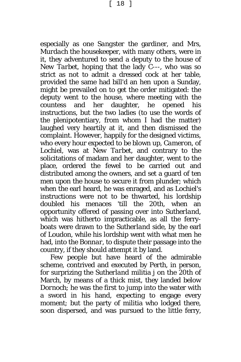especially as one *Sangster* the gardiner, and Mrs, *Murdach* the housekeeper, with many others, were in it, they adventured to send a deputy to the house of *New Tarbet*, hoping that the lady *C*---, who was so strict as not to admit a dressed cock at her table, provided the same had bill'd an hen upon a Sunday, might be prevailed on to get the order mitigated: the deputy went to the house, where meeting with the countess and her daughter, he opened his instructions, but the two ladies (to use the words of the plenipotentiary, from whom I had the matter*)*  laughed very heartily at it, and then dismissed the complaint. However, happily for the designed victims, who every hour expected to be blown up, *Cameron*, of *Lochiel,* was at *New Tarbet,* and contrary to the solicitations of madam and her daughter, went to the place, ordered the fewel to be carried out and distributed among the owners, and set a guard of ten men upon the house to secure it from plunder; which when the earl heard, he was enraged, and as *Lochiel's* instructions were not to be thwarted, his lordship doubled his menaces 'till the 20th, when an opportunity offered of passing over into *Sutherland*, which was hitherto impracticable, as all the ferryboats were drawn to the *Sutherland* side, by the earl of *Loudon*, while his lordship went with what men he had, into the *Bonnar*, to dispute their passage into the country, if they should attempt it by land.

Few people but have heard of the admirable scheme, contrived and executed by *Perth,* in person, for surprizing the *Sutherland* militia j on the 20th of March, by means of a thick mist, they landed below *Dornoch*; he was the first to jump into the water with a sword in his hand, expecting to engage every moment; but the party of militia who lodged there, soon dispersed, and was pursued to the little ferry,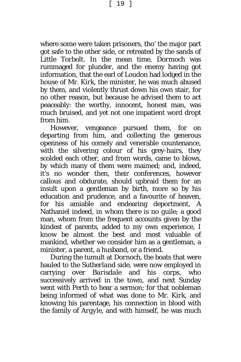where some were taken prisoners, tho' the major part got safe to the other side, or retreated by the sands of *Little Torbolt.* In the mean time, *Dormoch* was rummaged for plunder, and the enemy having got information, that the earl of *Loudon* had lodged in the house of Mr. *Kirk,* the minister, he was much abused by them, and violently thrust down his own stair, for no other reason, but because he advised them to act peaceably: the worthy, innocent, honest man, was much bruised, and yet not one impatient word dropt from him.

However, vengeance pursued them, for on departing from him, and collecting the generous openness of his comely and venerable countenance, with the silvering colour of his grey-hairs, they scolded each other, and from words, came to blows, by which many of them were maimed; and, indeed, it's no wonder then, their conferences, however callous and obdurate, should upbraid them for an insult upon a gentleman by birth, more so by his education and prudence, and a favourite of heaven, for his amiable and endearing deportment, *A* Nathaniel *indeed, in whom there is no guile*; a good man, whom from the frequent accounts given by the kindest of parents, added to my own experience, I know be almost the best and most valuable of mankind, whether we consider him as a gentleman, a minister, a parent, a husband, or a friend.

During the tumult at *Dornoch*, the boats that were hauled to the *Sutherland* side, were now employed in carrying over *Barisdale* and his corps, who successively arrived in the town, and next Sunday went with *Perth* to hear a sermon; for that nobleman being informed of what was done to Mr. *Kirk*, and knowing his parentage, his connection in blood with the family of *Argyle,* and with himself, he was much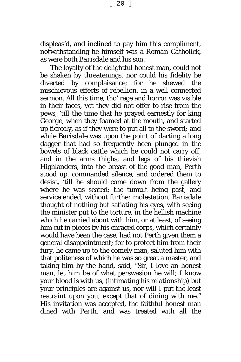[ 20 ]

displeas'd, and inclined to pay him this compliment, notwithstanding he himself was a *Roman Catholick,* as were both *Barisdale* and his son.

The loyalty of the delightful honest man, could not be shaken by threatenings, nor could his fidelity be diverted by complaisance; for he shewed the mischievous effects of rebellion, in a well connected sermon. All this time, tho' rage and horror was visible in their faces, yet they did not offer to rise from the pews, 'till the time that he prayed earnestly for king *George*, when they foamed at the mouth, and started up fiercely, as if they were to put all to the sword*;* and while *Barisdale* was upon the point of darting a long dagger that had so frequently been plunged in the bowels of black cattle which he could not carry off, and in the arms thighs, and legs of his thievish Highlanders, into the breast of the good man, *Perth* stood up, commanded silence, and ordered them to desist, 'till he should come down from the gallery where he was seated; the tumult being past, and service ended, without further molestation, *Barisdale* thought of nothing but satiating his eyes, with seeing the minister put to the torture, in the hellish machine which he carried about with him, or at least, of seeing him cut in pieces by his enraged corps, which certainly would have been the case, had not *Perth* given them a general disappointment; for to protect him from their fury, he came up to the comely man, saluted him with that politeness of which he was so great a master, and taking him by the hand, said, "Sir, I love an honest man, let him be of what perswasion he will; I know your blood is with us, (intimating his relationship) but your principles are against us, nor will I put the least restraint upon you, except that of dining with me." His invitation was accepted, the faithful honest man dined with *Perth*, and was treated with all the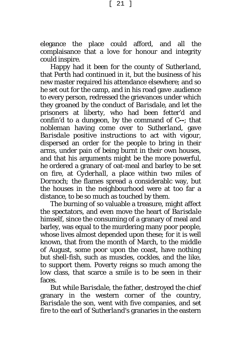elegance the place could afford, and all the complaisance that a love for honour and integrity could inspire.

Happy had it been for the county of *Sutherland,* that *Perth* had continued in it, but the business of his new master required his attendance elsewhere; and so he set out for the camp, and in his road gave .audience to every person, redressed the grievances under which they groaned by the conduct of *Barisdale,* and let the prisoners at liberty, who had been fetter'd and confin'd to a dungeon, by the command of *C--*; that nobleman having come over to *Sutherland,* gave *Barisdale* positive instructions to act with vigour, dispersed an order for the people to bring in their arms, under pain of being burnt in their own houses, and that his arguments might be the more powerful, he ordered a granary of oat-meal and barley to be set on fire, at *Cyderhall,* a place within two miles of *Dornoch;* the flames spread a considerablc way, but the houses in the neighbourhood were at too far a distance, to be so much as touched by them.

The burning of so valuable a treasure, might affect the spectators, and even move the heart of *Barisdale* himself, since the consuming of a granary of meal and barley, was equal to the murdering many poor people, whose lives almost depended upon these; for it is well known, that from the month of March, to the middle of August, some poor upon the coast, have nothing but shell-fish, such as muscles, cockles, and the like, to support them. Poverty reigns so much among the low class, that scarce a smile is to be seen in their faces.

But while *Barisdale*, the father, destroyed the chief granary in the western corner of the country, *Barisdale* the son, went with five companies, and set fire to the earl of *Sutherland's* granaries in the eastern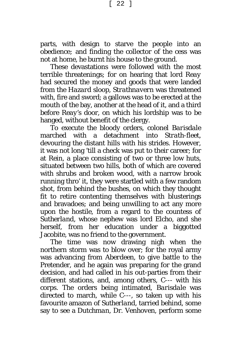[ 22 ]

parts, with design to starve the people into an obedience*;* and finding the collector of the cess was not at home, he burnt his house to the ground.

These devastations were followed with the most terrible threatenings; for on hearing that lord *Reay* had secured the money and goods that were landed from the *Hazard* sloop, *Strathnavern* was threatened with, fire and sword; a gallows was to be erected at the mouth of the bay, another at the head of it, and a third before *Reay'*s door, on which his lordship was to be hanged, without benefit of the clergy.

To execute the bloody orders, colonel *Barisdale* marched with a detachment into *Strath-fleet*, devouring the distant hills with his strides. However, it was not long 'till a check was put to their career; for at *Rein,* a place consisting of two or three low huts, situated between two hills, both of which are covered with shrubs and broken wood, with a narrow brook running thro' it, they were startled with a few random shot, from behind the bushes, on which they thought fit to retire contenting themselves with blusterings and bravadoes; and being unwilling to act any more upon the hostile, from a regard to the countess of *Sutherland*, whose nephew was lord *Elcho,* and she herself, from her education under a biggotted Jacobite, was no friend to the government.

The time was now drawing nigh when the northern storm was to blow over; for the royal army was advancing from *Aberdeen,* to give battle to the Pretender, and he again was preparing for the grand decision, and had called in his out-parties from their different stations, and, among others, C--- with his corps. The orders being intimated, *Barisdale* was directed to march, while *C*---, so taken up with his favourite amazon of *Sutherland,* tarried behind, some say to see a *Dutchman,* Dr. *Venhoven,* perform some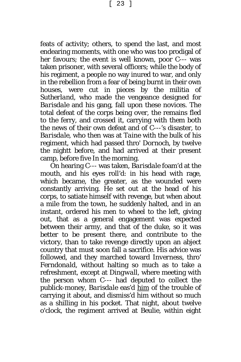feats of activity; others, to spend the last, and most endearing moments, with one who was too prodigal of her favours; the event is well known, poor *C*--- was taken prisoner, with several officers; while the body of his regiment, a people no way inured to war, and only in the rebellion from a fear of being burnt in their own houses, were cut in pieces by the militia of *Sutherland*, who made the vengeance designed for *Barisdale* and his gang, fall upon these novices. The total defeat of the corps being over, the remains fled to the ferry, and crossed it, carrying with them both the news of their own defeat and of *C*---'s disaster, to *Barisdale*, who then was at *Taine* with the bulk of his regiment, which had passed thro' *Dornoch,* by twelve the nightt before, and had arrived at their present camp, before five In the morning.

On hearing *C*--- was taken, *Barisdale* foam'd at the mouth, and his eyes roll'd: in his head with rage, which became, the greater, as the wounded were constantly arriving. He set out at the head of his corps, to satiate himself with revenge, but when about a mile from the town, he suddenly halted, and in an instant, ordered his men to wheel to the left, giving out, that as a general engagement was expected between their army, and that of the duke, *so* it was better to be present there, and contribute to the victory, than to take revenge directly upon an abject country that must soon fall a sacrifice. His advice was followed, and they marched toward *Inverness,* thro' *Ferndonald,* without halting so much as to take a refreshment, except at *Dingwall,* where meeting with the person whom *C*--- had deputed to collect the publick-money, *Barisdale* eas'd him of the trouble of carrying it about, and dismiss'd him without so much as a shilling in his pocket. That night, about twelve o'clock, the regiment arrived at *Beulie,* within eight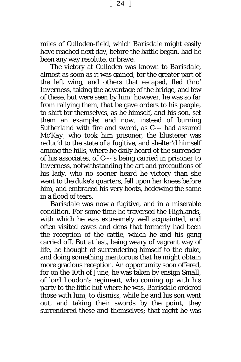[ 24 ]

miles of *Culloden-field,* which *Barisdale* might easily have reached next day, before the battle began, had he been any way resolute, or brave.

The victory at *Culloden* was known to *Barisdale*, almost as soon as it was gained, for the greater part of the left wing, and others that escaped, fled thro' *Inverness,* taking the advantage of the bridge, and few of these, but were seen by him; however, he was so far from rallying them, that be gave orders to his people, to shift for themselves, as he himself, and his son*,* set them an example: and now, instead of burning *Sutherland* with fire and sword, as *C*--- had assured *Mc'Kay,* who took him prisoner, the blusterer was reduc'd to the state of a fugitive, and shelter'd himself among the hills, where he daily heard of the surrender of his associates, of *C*---'s being carried in prisoner to *Inverness,* notwithstanding the art and precautions of his lady, who no sooner heard he victory than she went to the duke's quarters, fell upon her knees before him, and embraced his very boots, bedewing the same in a flood of tears.

*Barisdale* was now a fugitive, and in a miserable condition. For some time he traversed the Highlands, with which he was extreamely well acquainted, and often visited caves and dens that formerly had been the reception of the cattle, which he and his gang carried off. But at last, being weary of vagrant way of life, he thought of surrendering himself to the duke, and doing something meritorous that he might obtain more gracious reception. An opportunity soon offered, for on the 10th of June, he was taken by ensign *Small,* of lord *Loudon's* regiment, who coming up with his party to the little hut where he was, *Barisdale* ordered those with him, to dismiss, while he and his son went out, and taking their swords by the point, they surrendered these and themselves; that night he was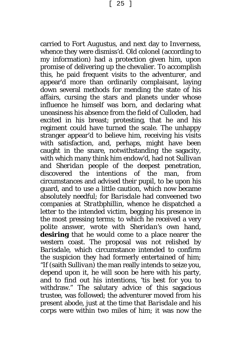carried to *Fort Augustus,* and next day to *Inverness*, whence they were dismiss'd. Old colonel (according to my information) had a protection given him, upon promise of delivering up the chevalier. To accomplish this, he paid frequent visits to the adventurer, and appear'd more than ordinarily complaisant, laying down several methods for mending the state of his affairs, cursing the stars and planets under whose influence he himself was born, and declaring what uneasiness his absence from the field of *Culloden*, had excited in his breast; protesting, that he and his regiment could have turned the scale. The unhappy stranger appear'd to believe him, receiving his visits with satisfaction, and, perhaps, might have been caught in the snare, notwithstanding the sagacity, with which many think him endow'd, had not *Sullivan* and *Sheridan* people of the deepest penetration, discovered the intentions of the man, from circumstances and advised their pupil, to be upon his guard, and to use a little caution, which now became absolutely needful; for *Barisdale* had conveened two companies at *Stratbphillin,* whence he dispatched a letter to the intended victim, begging his presence in the most pressing terms; to which he received a very polite answer, wrote with *Sheridan's* own hand, **desiring** that he would come to a place nearer the western coast. The proposal was not relished by *Barisdale*, which circumstance intended to confirm the suspicion they had formerly entertained of him; *"*If (saith *Sullivan)* the man really intends to seize you, depend upon it, he will soon be here with his party, and to find out his intentions, 'tis best for you to withdraw." The salutary advice of this sagacious trustee, was followed; the adventurer moved from his present abode, just at the time that *Barisdale* and his corps were within two miles of him; it was now the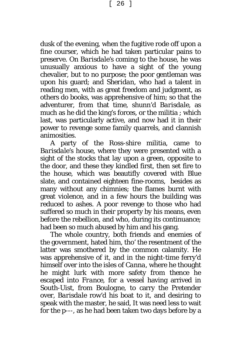[ 26 ]

dusk of the evening, when the fugitive rode off upon a fine courser, which he had taken particular pains to preserve. On *Barisdale's* coming to the house, he was unusually anxious to have a sight of the young chevalier, but to no purpose; the poor gentleman was upon his guard; and *Sheridan*, who had a talent in reading men, with as great freedom and judgment, as others do books, was apprehensive of him; so that the adventurer, from that time, shunn'd *Barisdale*, as much as he did the king's forces, or the militia ; which last, was particularly active, and now had it in their power to revenge some family quarrels, and clannish animosities.

A party of the *Ross-shire* militia, came to *Barisdale's* house, where they were presented with a sight of the stocks that lay upon a green, opposite to the door, and these they kindled first, then set fire to the house, which was beautifly covered with Blue slate, and contained eighteen fine-rooms, besides as many without any chimnies; the flames burnt with great violence, and in a few hours the building was reduced to ashes. A poor revenge to those who had suffered so much in their property by his means, even before the rebellion, and who, during its continuance; had been so much abused by him and his gang.

The whole country, both friends and enemies of the government, hated him, tho' the resentment of the latter was smothered by the common calamity. He was apprehensive of it, and in the night-time ferry'd himself over into the isles of *Canna,* where he thought he might lurk with more safety from thence he escaped into *France,* for a vessel having arrived in *South-Uist,* from *Boulogne*, to carry the Pretender over, *Barisdale* row'd his boat to it, and desiring to speak with the master, he said, It was need less to wait for the p---, as he had been taken two days before by a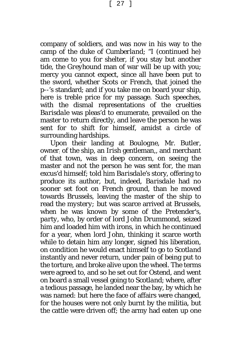[ 27 ]

company of soldiers, and was now in his way to the camp of the duke of *Cumberland*; "I (continued he) am come to you for shelter, if you stay but another tide, the *Greyhound* man of war will be up with you; mercy you cannot expect, since all have been put to the sword, whether *Scots* or *French*, that joined the p--'s standard; and if you take me on board your ship, here is treble price for my passage. Such speeches, with the dismal representations of the cruelties *Barisdale* was pleas'd to enumerate, prevailed on the master to return directly, and leave the person he was sent for to shift for himself, amidst a circle of surrounding hardships.

Upon their landing at *Boulogne,* Mr. *Butler,*  owner: of the ship, an *Irish* gentleman,, and merchant of that town, was in deep concern, on seeing the master and not the person he was sent for, the man excus'd himself; told him *Barisdale*'s story, offering to produce its author*,* but, indeed, *Barisdale* had no sooner set foot on *French* ground, than he moved towards *Brussels,* leaving the master of the ship to read the *mystery;* but was scarce arrived at *Brussels,* when he was known by some of the Pretender's, *party,* who, by order of lord *John Drummond,* seized him and loaded him with irons, in which he continued for a year, when lord *John,* thinking it scarce worth while to detain him any longer, signed his liberation, on condition he would enact himself to go to *Scotland* instantly and never return, under pain of being put to the torture, and broke alive upon the wheel. The terms were agreed to, and so he set out for *Ostend,* and went on board a small vessel going to *Scotland*; where, after a tedious passage, he landed near the bay, by which he was named: but here the face of affairs were changed, for the houses were not only burnt by the militia, but the cattle were driven off; the army had eaten up one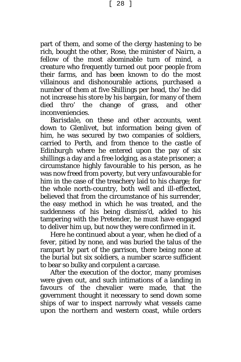[ 28 ]

part of them, and some of the clergy hastening to be rich, bought the other, *Rose,* the minister of *Nairn,* a fellow of the most abominable turn of mind, a creature who frequently turned out poor people from their farms, and has been known to do the most villainous and dishonourable actions, purchased a number of them at five Shillings per head, tho' he did not increase his store by his bargain, for many of them died thro' the change of grass, and other inconveniencies.

*Barisdale,* on these and other accounts, went down to *Glenlivet,* but information being given of him, he was secured by two companies of soldiers, carried to *Perth,* and from thence to the castle of *Edinburgh* where he entered upon the pay of six shillings a day and a free lodging, as a state prisoner; a circumstance highly favourable to his person, as he was now freed from poverty, but very unfavourable for him in the case of the treachery laid to his charge; for the whole north-country, both well and ill-effected, believed that from the circumstance of his surrender, the easy method in which he was treated, and the suddenness of his being dismiss'd, added to his tampering with the Pretender, he must have engaged to deliver him up, but now they were confirmed in it.

Here he continued about a year, when he died of a fever, pitied by none, and was buried the talus of the rampart by part of the garrison, there being none at the burial but six soldiers, a number scarce sufficient to bear so bulky and corpulent a carcase.

After the execution of the doctor, many promises were given out, and such intimations of a landing in favours of the chevalier were made, that the government thought it necessary to send down some ships of war to inspect narrowly what vessels came upon the northern and western coast, while orders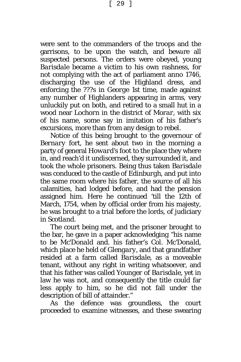[ 29 ]

were sent to the commanders of the troops and the garrisons, to be upon the watch, and beware all suspected persons. The orders were obeyed, young *Barisdale* became a victim to his own rashness, for not complying with the act of parliament anno 1746, discharging the use of the Highland dress, and enforcing the ???s in *George* 1st time, made against any number of Highlanders appearing in arms, very unluckily put on both, and retired to a small hut in a wood near *Lochorn* in the district of *Morar*, with six of his name, some say in imitation of his father's excursions, more than from any design to rebel.

Notice of this being brought to the governour of *Bernary* fort, he sent about two in the morning a party of general *Howard's* foot to the place they where in, and reach'd it undiscerned, they surrounded it, and took the whole prisoners. Being thus taken *Barisdale* was conduced to the castle of *Edinburgh,* and put into the same room where his father, the source of all his calamities, had lodged before, and had the pension assigned him. Here he continued 'till the 12th of March, 1754, when by official order from his majesty, he was brought to a trial before the lords, of judiciary in *Scotland.*

The court being met, and the prisoner brought to the bar, he gave in a paper acknowledging "his name to be *Mc'Donald* and. his father's C*ol. Mc'Donald,* which place he held of *Glengary,* and that grandfather resided at a farm called *Barisdale,* as a moveable tenant, without any right in writing whatsoever, and that his father was called *Younger of Barisdale,* yet in law he was not, and consequently the title could far less apply to him, so he did not fall under the description of bill of attainder."

As the defence was groundless, the court proceeded to examine witnesses, and these swearing